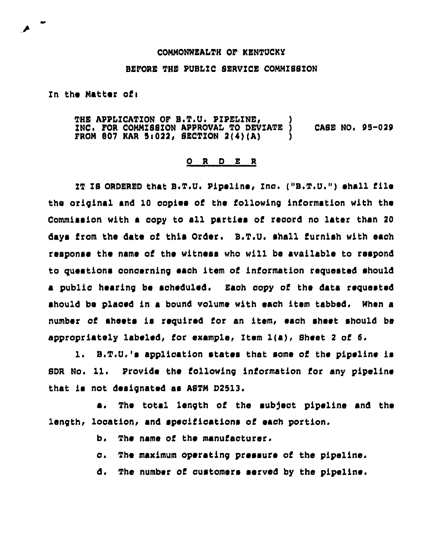## CONNONWEALTH OF KENTUCKY

## BEFORE THE PUSLIC SERVICE CONNZSSION

Zn the Natter ofi

THE APPLICATION OF S.T.U. PIPELINE, INC. FOR COMMISSION APPROVAL TO DEVIATE ) CASE NO. 95-029 FROM 807 KAR 5:022, SECTION 2(4)(A)

## 0 R <sup>D</sup> E R

IT IS ORDERED that B.T.U. Pipeline, Inc. ("B.T.U.") shall file the original and 10 copiee of the following information with the Commission with a copy to all parties of record no later than <sup>20</sup> days from the date of this Order. E.T,U, shall furnish with each response the name of the witness who will be available to respond to questions concerning each item of information requested should a public hearing be soheduled. Each copy of the data requested should be placed in a bound volume with each item tabbed. When a number of sheets is required for an item, each sheet should be appropriately labeled, for example, Item l(a) <sup>&</sup>lt; Sheet <sup>2</sup> of 5.

1. E.T.U,' application states that some of the pipeline is SDR No. 11. Provide the following information for any pipeline that is not designated as ASTN D2513.

a. The total length of the subject pipeline and the length, location, and specifications of each portion,

b. The name of the manufacturer.

c. The maximum operating pressure of the pipeline.

d, The number of customers served by the pipeline.

,P